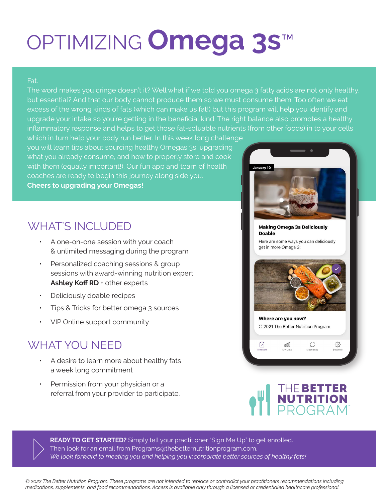# OPTIMIZING **Omega 3s**™

#### Fat.

The word makes you cringe doesn't it? Well what if we told you omega 3 fatty acids are not only healthy, but essential? And that our body cannot produce them so we must consume them. Too often we eat excess of the wrong kinds of fats (which can make us fat!) but this program will help you identify and upgrade your intake so you're getting in the beneficial kind. The right balance also promotes a healthy inflammatory response and helps to get those fat-soluable nutrients (from other foods) in to your cells

which in turn help your body run better. In this week long challenge you will learn tips about sourcing healthy Omegas 3s, upgrading what you already consume, and how to properly store and cook with them (equally important!). Our fun app and team of health coaches are ready to begin this journey along side you. **Cheers to upgrading your Omegas!** 

## WHAT'S INCLUDED

- A one-on-one session with your coach & unlimited messaging during the program
- Personalized coaching sessions & group sessions with award-winning nutrition expert Ashley Koff RD + other experts
- Deliciously doable recipes
- Tips & Tricks for better omega 3 sources
- ƽ VIP Online support community

### WHAT YOU NEED

- ƽ A desire to learn more about healthy fats a week long commitment
- Permission from your physician or a referral from your provider to participate.



**Doable** Here are some ways you can deliciously get in more Omega 3:



Where are you now? @ 2021 The Better Nutrition Program

#### ౘ్తి nn  $\bigcirc$ ☑ My Data Message Setting:



**READY TO GET STARTED?** Simply tell your practitioner "Sign Me Up" to get enrolled. Then look for an email from Programs@thebetternutritionprogram.com. *We look forward to meeting you and helping you incorporate better sources of healthy fats!* 

*© 2022 The Better Nutrition Program. These programs are not intended to replace or contradict your practitioners recommendations including medications, supplements, and food recommendations. Access is available only through a licensed or credentialed healthcare professional.*